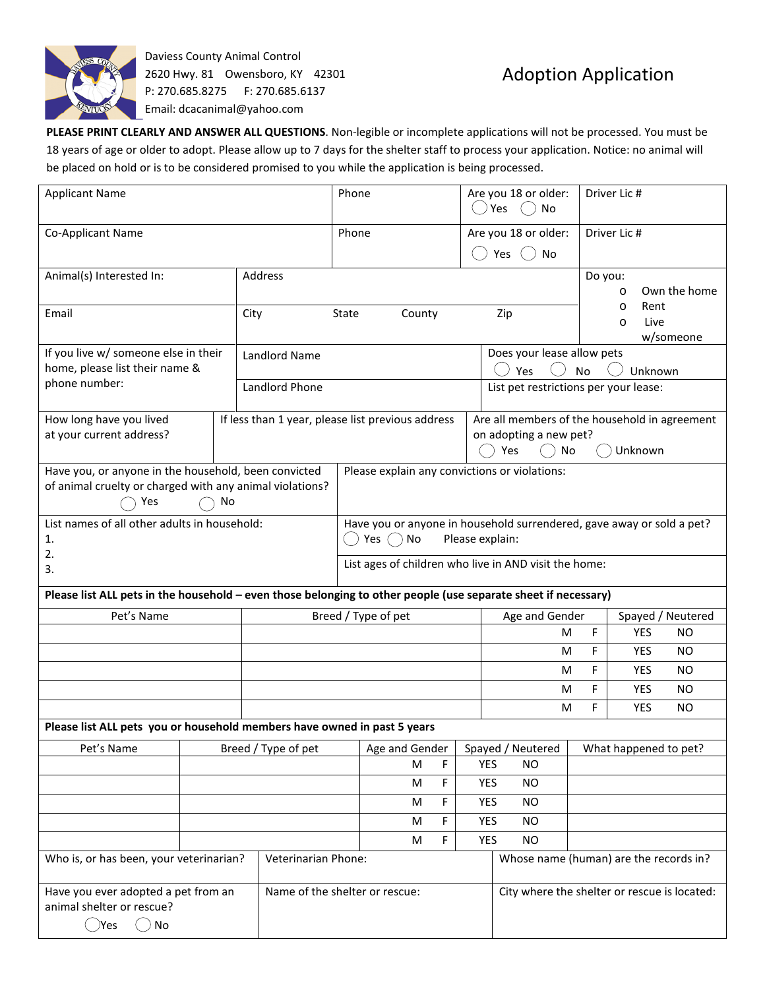

Daviess County Animal Control 2620 Hwy. 81 Owensboro, KY 42301 P: 270.685.8275 F: 270.685.6137 Email: dcacanimal@yahoo.com

## Adoption Application

**PLEASE PRINT CLEARLY AND ANSWER ALL QUESTIONS**. Non-legible or incomplete applications will not be processed. You must be 18 years of age or older to adopt. Please allow up to 7 days for the shelter staff to process your application. Notice: no animal will be placed on hold or is to be considered promised to you while the application is being processed.

| <b>Applicant Name</b>                                                                                                         |  | Phone                                                                                                        |                                                       |                                               |        | Are you 18 or older:<br>Yes<br>No                  |                                                                                                        | Driver Lic #                                    |                   |           |  |
|-------------------------------------------------------------------------------------------------------------------------------|--|--------------------------------------------------------------------------------------------------------------|-------------------------------------------------------|-----------------------------------------------|--------|----------------------------------------------------|--------------------------------------------------------------------------------------------------------|-------------------------------------------------|-------------------|-----------|--|
| Co-Applicant Name                                                                                                             |  |                                                                                                              | Phone                                                 |                                               |        | Are you 18 or older:<br>Yes<br>No                  |                                                                                                        | Driver Lic #                                    |                   |           |  |
| Animal(s) Interested In:                                                                                                      |  | Address                                                                                                      |                                                       |                                               |        |                                                    |                                                                                                        | Do you:<br>Own the home<br>$\circ$              |                   |           |  |
| Email                                                                                                                         |  | City                                                                                                         | County<br>Zip<br>State                                |                                               |        |                                                    |                                                                                                        | Rent<br>$\circ$<br>Live<br>$\circ$<br>w/someone |                   |           |  |
| If you live w/ someone else in their<br>home, please list their name &                                                        |  | <b>Landlord Name</b>                                                                                         |                                                       |                                               |        | Does your lease allow pets<br>Yes<br>Unknown<br>No |                                                                                                        |                                                 |                   |           |  |
| phone number:                                                                                                                 |  | Landlord Phone                                                                                               |                                                       |                                               |        |                                                    | List pet restrictions per your lease:                                                                  |                                                 |                   |           |  |
| How long have you lived<br>at your current address?                                                                           |  | If less than 1 year, please list previous address                                                            |                                                       |                                               |        |                                                    | Are all members of the household in agreement<br>on adopting a new pet?<br>Yes<br><b>No</b><br>Unknown |                                                 |                   |           |  |
| Have you, or anyone in the household, been convicted<br>of animal cruelty or charged with any animal violations?<br>Yes<br>No |  |                                                                                                              |                                                       | Please explain any convictions or violations: |        |                                                    |                                                                                                        |                                                 |                   |           |  |
| List names of all other adults in household:<br>1.<br>2.                                                                      |  | Have you or anyone in household surrendered, gave away or sold a pet?<br>Please explain:<br>Yes $\bigcap$ No |                                                       |                                               |        |                                                    |                                                                                                        |                                                 |                   |           |  |
| 3.                                                                                                                            |  |                                                                                                              | List ages of children who live in AND visit the home: |                                               |        |                                                    |                                                                                                        |                                                 |                   |           |  |
| Please list ALL pets in the household - even those belonging to other people (use separate sheet if necessary)                |  |                                                                                                              |                                                       |                                               |        |                                                    |                                                                                                        |                                                 |                   |           |  |
| Pet's Name                                                                                                                    |  |                                                                                                              | Breed / Type of pet                                   |                                               |        |                                                    | Age and Gender                                                                                         |                                                 | Spayed / Neutered |           |  |
|                                                                                                                               |  |                                                                                                              |                                                       |                                               |        |                                                    | F<br>м                                                                                                 |                                                 | YES               | <b>NO</b> |  |
|                                                                                                                               |  |                                                                                                              |                                                       |                                               |        |                                                    | F<br><b>YES</b><br>м                                                                                   |                                                 |                   | <b>NO</b> |  |
|                                                                                                                               |  |                                                                                                              |                                                       |                                               |        |                                                    | м                                                                                                      | F                                               | <b>YES</b>        | <b>NO</b> |  |
|                                                                                                                               |  |                                                                                                              |                                                       |                                               |        |                                                    | м                                                                                                      | F                                               | <b>YES</b>        | <b>NO</b> |  |
|                                                                                                                               |  |                                                                                                              |                                                       |                                               |        |                                                    | M                                                                                                      | F                                               | YES               | <b>NO</b> |  |
| Please list ALL pets you or household members have owned in past 5 years                                                      |  |                                                                                                              |                                                       |                                               |        |                                                    |                                                                                                        |                                                 |                   |           |  |
| Breed / Type of pet<br>Pet's Name                                                                                             |  |                                                                                                              | Age and Gender<br>Spayed / Neutered<br><b>YES</b>     |                                               |        | What happened to pet?                              |                                                                                                        |                                                 |                   |           |  |
|                                                                                                                               |  |                                                                                                              |                                                       | M                                             | F      |                                                    | <b>NO</b>                                                                                              |                                                 |                   |           |  |
|                                                                                                                               |  |                                                                                                              |                                                       | М                                             | F      | <b>YES</b><br><b>YES</b>                           | NO.<br><b>NO</b>                                                                                       |                                                 |                   |           |  |
|                                                                                                                               |  |                                                                                                              |                                                       | М                                             | F      |                                                    |                                                                                                        |                                                 |                   |           |  |
|                                                                                                                               |  |                                                                                                              |                                                       | M<br>M                                        | F<br>F | <b>YES</b>                                         | NO.<br><b>NO</b>                                                                                       |                                                 |                   |           |  |
| Who is, or has been, your veterinarian?<br>Veterinarian Phone:                                                                |  |                                                                                                              |                                                       | <b>YES</b>                                    |        |                                                    |                                                                                                        |                                                 |                   |           |  |
|                                                                                                                               |  |                                                                                                              |                                                       |                                               |        |                                                    | Whose name (human) are the records in?                                                                 |                                                 |                   |           |  |
| Have you ever adopted a pet from an<br>animal shelter or rescue?                                                              |  |                                                                                                              | Name of the shelter or rescue:                        |                                               |        | City where the shelter or rescue is located:       |                                                                                                        |                                                 |                   |           |  |
| ( )Yes<br>No                                                                                                                  |  |                                                                                                              |                                                       |                                               |        |                                                    |                                                                                                        |                                                 |                   |           |  |